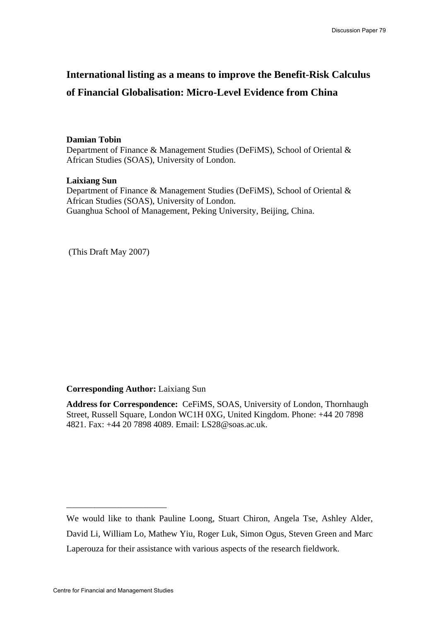## **International listing as a means to improve the Benefit-Risk Calculus of Financial Globalisation: Micro-Level Evidence from China**

## **Damian Tobin**

Department of Finance & Management Studies (DeFiMS), School of Oriental & African Studies (SOAS), University of London.

## **Laixiang Sun**

Department of Finance & Management Studies (DeFiMS), School of Oriental & African Studies (SOAS), University of London. Guanghua School of Management, Peking University, Beijing, China.

(This Draft May 2007)

## **Corresponding Author:** Laixiang Sun

**Address for Correspondence:** CeFiMS, SOAS, University of London, Thornhaugh Street, Russell Square, London WC1H 0XG, United Kingdom. Phone: +44 20 7898 4821. Fax: +44 20 7898 4089. Email: LS28@soas.ac.uk.

**\_\_\_\_\_\_\_\_\_\_\_\_\_\_\_\_\_\_\_\_\_\_\_\_\_\_\_\_\_\_\_\_\_\_** 

We would like to thank Pauline Loong, Stuart Chiron, Angela Tse, Ashley Alder, David Li, William Lo, Mathew Yiu, Roger Luk, Simon Ogus, Steven Green and Marc Laperouza for their assistance with various aspects of the research fieldwork.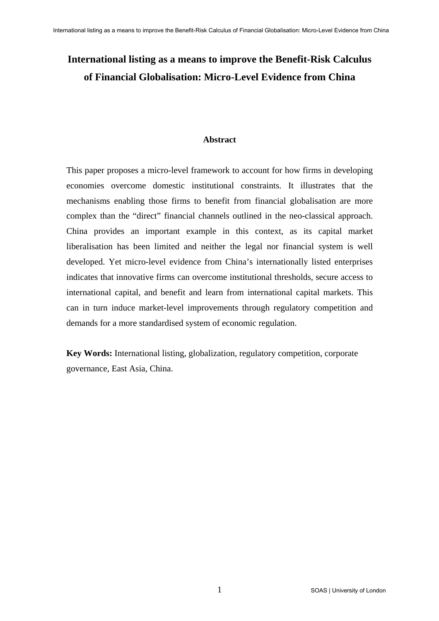# **International listing as a means to improve the Benefit-Risk Calculus of Financial Globalisation: Micro-Level Evidence from China**

#### **Abstract**

This paper proposes a micro-level framework to account for how firms in developing economies overcome domestic institutional constraints. It illustrates that the mechanisms enabling those firms to benefit from financial globalisation are more complex than the "direct" financial channels outlined in the neo-classical approach. China provides an important example in this context, as its capital market liberalisation has been limited and neither the legal nor financial system is well developed. Yet micro-level evidence from China's internationally listed enterprises indicates that innovative firms can overcome institutional thresholds, secure access to international capital, and benefit and learn from international capital markets. This can in turn induce market-level improvements through regulatory competition and demands for a more standardised system of economic regulation.

**Key Words:** International listing, globalization, regulatory competition, corporate governance, East Asia, China.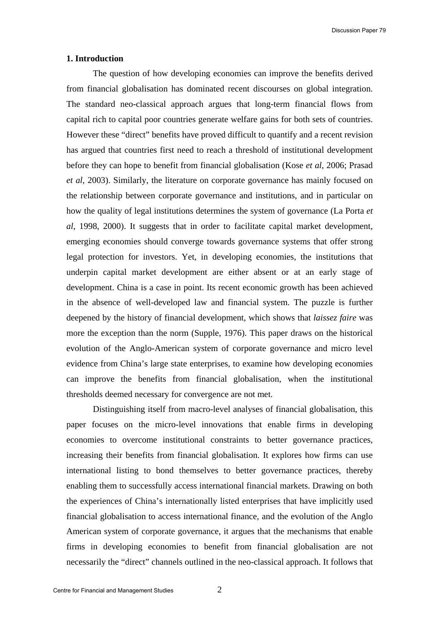Discussion Paper 79

#### **1. Introduction**

The question of how developing economies can improve the benefits derived from financial globalisation has dominated recent discourses on global integration. The standard neo-classical approach argues that long-term financial flows from capital rich to capital poor countries generate welfare gains for both sets of countries. However these "direct" benefits have proved difficult to quantify and a recent revision has argued that countries first need to reach a threshold of institutional development before they can hope to benefit from financial globalisation (Kose *et al*, 2006; Prasad *et al*, 2003). Similarly, the literature on corporate governance has mainly focused on the relationship between corporate governance and institutions, and in particular on how the quality of legal institutions determines the system of governance (La Porta *et al*, 1998, 2000). It suggests that in order to facilitate capital market development, emerging economies should converge towards governance systems that offer strong legal protection for investors. Yet, in developing economies, the institutions that underpin capital market development are either absent or at an early stage of development. China is a case in point. Its recent economic growth has been achieved in the absence of well-developed law and financial system. The puzzle is further deepened by the history of financial development, which shows that *laissez faire* was more the exception than the norm (Supple, 1976). This paper draws on the historical evolution of the Anglo-American system of corporate governance and micro level evidence from China's large state enterprises, to examine how developing economies can improve the benefits from financial globalisation, when the institutional thresholds deemed necessary for convergence are not met.

Distinguishing itself from macro-level analyses of financial globalisation, this paper focuses on the micro-level innovations that enable firms in developing economies to overcome institutional constraints to better governance practices, increasing their benefits from financial globalisation. It explores how firms can use international listing to bond themselves to better governance practices, thereby enabling them to successfully access international financial markets. Drawing on both the experiences of China's internationally listed enterprises that have implicitly used financial globalisation to access international finance, and the evolution of the Anglo American system of corporate governance, it argues that the mechanisms that enable firms in developing economies to benefit from financial globalisation are not necessarily the "direct" channels outlined in the neo-classical approach. It follows that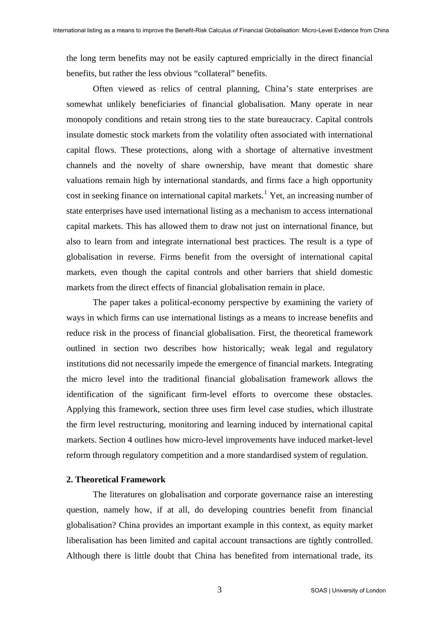the long term benefits may not be easily captured empricially in the direct financial benefits, but rather the less obvious "collateral" benefits.

Often viewed as relics of central planning, China's state enterprises are somewhat unlikely beneficiaries of financial globalisation. Many operate in near monopoly conditions and retain strong ties to the state bureaucracy. Capital controls insulate domestic stock markets from the volatility often associated with international capital flows. These protections, along with a shortage of alternative investment channels and the novelty of share ownership, have meant that domestic share valuations remain high by international standards, and firms face a high opportunity cost in seeking finance on international capital markets.<sup>[1](#page-27-0)</sup> Yet, an increasing number of state enterprises have used international listing as a mechanism to access international capital markets. This has allowed them to draw not just on international finance, but also to learn from and integrate international best practices. The result is a type of globalisation in reverse. Firms benefit from the oversight of international capital markets, even though the capital controls and other barriers that shield domestic markets from the direct effects of financial globalisation remain in place.

The paper takes a political-economy perspective by examining the variety of ways in which firms can use international listings as a means to increase benefits and reduce risk in the process of financial globalisation. First, the theoretical framework outlined in section two describes how historically; weak legal and regulatory institutions did not necessarily impede the emergence of financial markets. Integrating the micro level into the traditional financial globalisation framework allows the identification of the significant firm-level efforts to overcome these obstacles. Applying this framework, section three uses firm level case studies, which illustrate the firm level restructuring, monitoring and learning induced by international capital markets. Section 4 outlines how micro-level improvements have induced market-level reform through regulatory competition and a more standardised system of regulation.

#### **2. Theoretical Framework**

The literatures on globalisation and corporate governance raise an interesting question, namely how, if at all, do developing countries benefit from financial globalisation? China provides an important example in this context, as equity market liberalisation has been limited and capital account transactions are tightly controlled. Although there is little doubt that China has benefited from international trade, its

3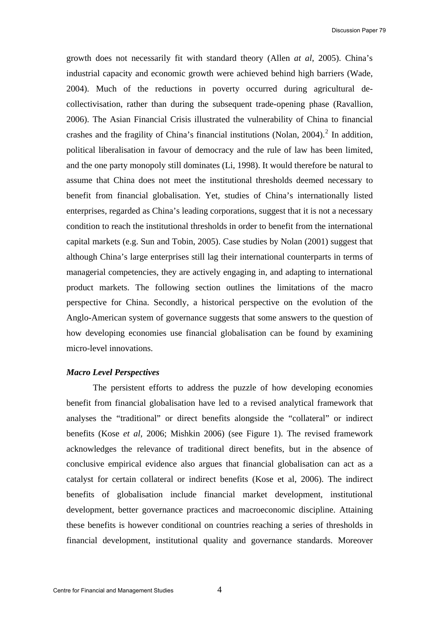Discussion Paper 79

growth does not necessarily fit with standard theory (Allen *at al*, 2005). China's industrial capacity and economic growth were achieved behind high barriers (Wade, 2004). Much of the reductions in poverty occurred during agricultural decollectivisation, rather than during the subsequent trade-opening phase (Ravallion, 2006). The Asian Financial Crisis illustrated the vulnerability of China to financial crashes and the fragility of China's financial institutions (Nolan, [2](#page-27-1)004).<sup>2</sup> In addition, political liberalisation in favour of democracy and the rule of law has been limited, and the one party monopoly still dominates (Li, 1998). It would therefore be natural to assume that China does not meet the institutional thresholds deemed necessary to benefit from financial globalisation. Yet, studies of China's internationally listed enterprises, regarded as China's leading corporations, suggest that it is not a necessary condition to reach the institutional thresholds in order to benefit from the international capital markets (e.g. Sun and Tobin, 2005). Case studies by Nolan (2001) suggest that although China's large enterprises still lag their international counterparts in terms of managerial competencies, they are actively engaging in, and adapting to international product markets. The following section outlines the limitations of the macro perspective for China. Secondly, a historical perspective on the evolution of the Anglo-American system of governance suggests that some answers to the question of how developing economies use financial globalisation can be found by examining micro-level innovations.

#### *Macro Level Perspectives*

The persistent efforts to address the puzzle of how developing economies benefit from financial globalisation have led to a revised analytical framework that analyses the "traditional" or direct benefits alongside the "collateral" or indirect benefits (Kose *et al*, 2006; Mishkin 2006) (see Figure 1). The revised framework acknowledges the relevance of traditional direct benefits, but in the absence of conclusive empirical evidence also argues that financial globalisation can act as a catalyst for certain collateral or indirect benefits (Kose et al, 2006). The indirect benefits of globalisation include financial market development, institutional development, better governance practices and macroeconomic discipline. Attaining these benefits is however conditional on countries reaching a series of thresholds in financial development, institutional quality and governance standards. Moreover

4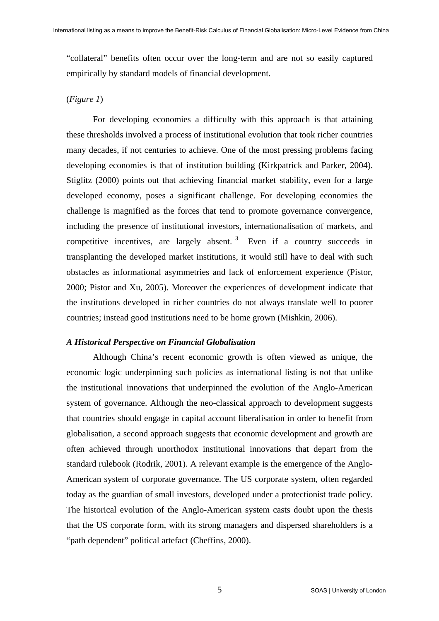"collateral" benefits often occur over the long-term and are not so easily captured empirically by standard models of financial development.

## (*Figure 1*)

For developing economies a difficulty with this approach is that attaining these thresholds involved a process of institutional evolution that took richer countries many decades, if not centuries to achieve. One of the most pressing problems facing developing economies is that of institution building (Kirkpatrick and Parker, 2004). Stiglitz (2000) points out that achieving financial market stability, even for a large developed economy, poses a significant challenge. For developing economies the challenge is magnified as the forces that tend to promote governance convergence, including the presence of institutional investors, internationalisation of markets, and competitive incentives, are largely absent.<sup>[3](#page-27-1)</sup> Even if a country succeeds in transplanting the developed market institutions, it would still have to deal with such obstacles as informational asymmetries and lack of enforcement experience (Pistor, 2000; Pistor and Xu, 2005). Moreover the experiences of development indicate that the institutions developed in richer countries do not always translate well to poorer countries; instead good institutions need to be home grown (Mishkin, 2006).

#### *A Historical Perspective on Financial Globalisation*

Although China's recent economic growth is often viewed as unique, the economic logic underpinning such policies as international listing is not that unlike the institutional innovations that underpinned the evolution of the Anglo-American system of governance. Although the neo-classical approach to development suggests that countries should engage in capital account liberalisation in order to benefit from globalisation, a second approach suggests that economic development and growth are often achieved through unorthodox institutional innovations that depart from the standard rulebook (Rodrik, 2001). A relevant example is the emergence of the Anglo-American system of corporate governance. The US corporate system, often regarded today as the guardian of small investors, developed under a protectionist trade policy. The historical evolution of the Anglo-American system casts doubt upon the thesis that the US corporate form, with its strong managers and dispersed shareholders is a "path dependent" political artefact (Cheffins, 2000).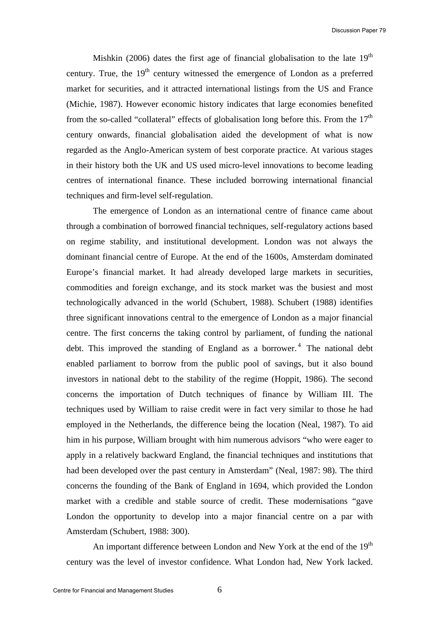Mishkin (2006) dates the first age of financial globalisation to the late  $19<sup>th</sup>$ century. True, the  $19<sup>th</sup>$  century witnessed the emergence of London as a preferred market for securities, and it attracted international listings from the US and France (Michie, 1987). However economic history indicates that large economies benefited from the so-called "collateral" effects of globalisation long before this. From the  $17<sup>th</sup>$ century onwards, financial globalisation aided the development of what is now regarded as the Anglo-American system of best corporate practice. At various stages in their history both the UK and US used micro-level innovations to become leading centres of international finance. These included borrowing international financial techniques and firm-level self-regulation.

The emergence of London as an international centre of finance came about through a combination of borrowed financial techniques, self-regulatory actions based on regime stability, and institutional development. London was not always the dominant financial centre of Europe. At the end of the 1600s, Amsterdam dominated Europe's financial market. It had already developed large markets in securities, commodities and foreign exchange, and its stock market was the busiest and most technologically advanced in the world (Schubert, 1988). Schubert (1988) identifies three significant innovations central to the emergence of London as a major financial centre. The first concerns the taking control by parliament, of funding the national debt. This improved the standing of England as a borrower.<sup>[4](#page-27-1)</sup> The national debt enabled parliament to borrow from the public pool of savings, but it also bound investors in national debt to the stability of the regime (Hoppit, 1986). The second concerns the importation of Dutch techniques of finance by William III. The techniques used by William to raise credit were in fact very similar to those he had employed in the Netherlands, the difference being the location (Neal, 1987). To aid him in his purpose, William brought with him numerous advisors "who were eager to apply in a relatively backward England, the financial techniques and institutions that had been developed over the past century in Amsterdam" (Neal, 1987: 98). The third concerns the founding of the Bank of England in 1694, which provided the London market with a credible and stable source of credit. These modernisations "gave London the opportunity to develop into a major financial centre on a par with Amsterdam (Schubert, 1988: 300).

An important difference between London and New York at the end of the 19<sup>th</sup> century was the level of investor confidence. What London had, New York lacked.

6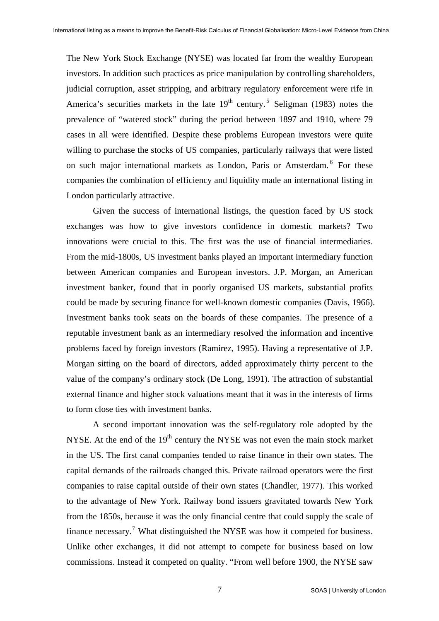The New York Stock Exchange (NYSE) was located far from the wealthy European investors. In addition such practices as price manipulation by controlling shareholders, judicial corruption, asset stripping, and arbitrary regulatory enforcement were rife in America's securities markets in the late  $19<sup>th</sup>$  century.<sup>[5](#page-27-1)</sup> Seligman (1983) notes the prevalence of "watered stock" during the period between 1897 and 1910, where 79 cases in all were identified. Despite these problems European investors were quite willing to purchase the stocks of US companies, particularly railways that were listed on such major international markets as London, Paris or Amsterdam.<sup>[6](#page-27-1)</sup> For these companies the combination of efficiency and liquidity made an international listing in London particularly attractive.

Given the success of international listings, the question faced by US stock exchanges was how to give investors confidence in domestic markets? Two innovations were crucial to this. The first was the use of financial intermediaries. From the mid-1800s, US investment banks played an important intermediary function between American companies and European investors. J.P. Morgan, an American investment banker, found that in poorly organised US markets, substantial profits could be made by securing finance for well-known domestic companies (Davis, 1966). Investment banks took seats on the boards of these companies. The presence of a reputable investment bank as an intermediary resolved the information and incentive problems faced by foreign investors (Ramirez, 1995). Having a representative of J.P. Morgan sitting on the board of directors, added approximately thirty percent to the value of the company's ordinary stock (De Long, 1991). The attraction of substantial external finance and higher stock valuations meant that it was in the interests of firms to form close ties with investment banks.

A second important innovation was the self-regulatory role adopted by the NYSE. At the end of the  $19<sup>th</sup>$  century the NYSE was not even the main stock market in the US. The first canal companies tended to raise finance in their own states. The capital demands of the railroads changed this. Private railroad operators were the first companies to raise capital outside of their own states (Chandler, 1977). This worked to the advantage of New York. Railway bond issuers gravitated towards New York from the 1850s, because it was the only financial centre that could supply the scale of finance necessary.<sup>[7](#page-27-1)</sup> What distinguished the NYSE was how it competed for business. Unlike other exchanges, it did not attempt to compete for business based on low commissions. Instead it competed on quality. "From well before 1900, the NYSE saw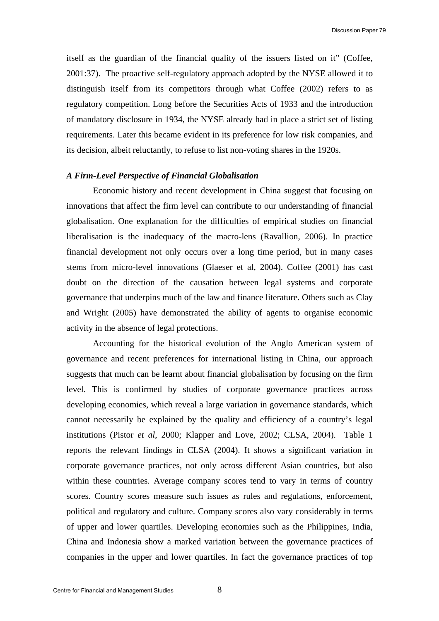itself as the guardian of the financial quality of the issuers listed on it" (Coffee, 2001:37). The proactive self-regulatory approach adopted by the NYSE allowed it to distinguish itself from its competitors through what Coffee (2002) refers to as regulatory competition. Long before the Securities Acts of 1933 and the introduction of mandatory disclosure in 1934, the NYSE already had in place a strict set of listing requirements. Later this became evident in its preference for low risk companies, and its decision, albeit reluctantly, to refuse to list non-voting shares in the 1920s.

#### *A Firm-Level Perspective of Financial Globalisation*

Economic history and recent development in China suggest that focusing on innovations that affect the firm level can contribute to our understanding of financial globalisation. One explanation for the difficulties of empirical studies on financial liberalisation is the inadequacy of the macro-lens (Ravallion, 2006). In practice financial development not only occurs over a long time period, but in many cases stems from micro-level innovations (Glaeser et al, 2004). Coffee (2001) has cast doubt on the direction of the causation between legal systems and corporate governance that underpins much of the law and finance literature. Others such as Clay and Wright (2005) have demonstrated the ability of agents to organise economic activity in the absence of legal protections.

Accounting for the historical evolution of the Anglo American system of governance and recent preferences for international listing in China, our approach suggests that much can be learnt about financial globalisation by focusing on the firm level. This is confirmed by studies of corporate governance practices across developing economies, which reveal a large variation in governance standards, which cannot necessarily be explained by the quality and efficiency of a country's legal institutions (Pistor *et al*, 2000; Klapper and Love, 2002; CLSA, 2004). Table 1 reports the relevant findings in CLSA (2004). It shows a significant variation in corporate governance practices, not only across different Asian countries, but also within these countries. Average company scores tend to vary in terms of country scores. Country scores measure such issues as rules and regulations, enforcement, political and regulatory and culture. Company scores also vary considerably in terms of upper and lower quartiles. Developing economies such as the Philippines, India, China and Indonesia show a marked variation between the governance practices of companies in the upper and lower quartiles. In fact the governance practices of top

8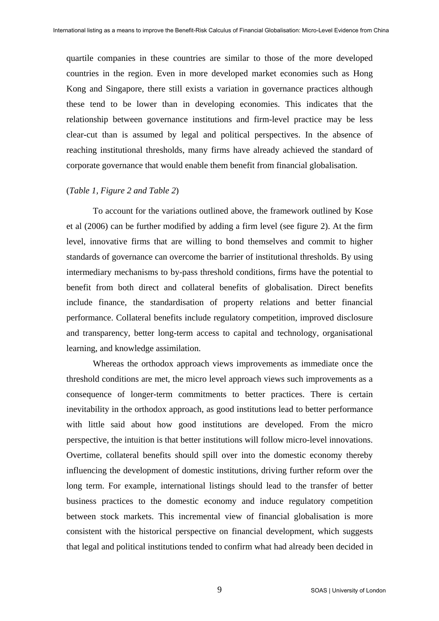quartile companies in these countries are similar to those of the more developed countries in the region. Even in more developed market economies such as Hong Kong and Singapore, there still exists a variation in governance practices although these tend to be lower than in developing economies. This indicates that the relationship between governance institutions and firm-level practice may be less clear-cut than is assumed by legal and political perspectives. In the absence of reaching institutional thresholds, many firms have already achieved the standard of corporate governance that would enable them benefit from financial globalisation.

#### (*Table 1, Figure 2 and Table 2*)

To account for the variations outlined above, the framework outlined by Kose et al (2006) can be further modified by adding a firm level (see figure 2). At the firm level, innovative firms that are willing to bond themselves and commit to higher standards of governance can overcome the barrier of institutional thresholds. By using intermediary mechanisms to by-pass threshold conditions, firms have the potential to benefit from both direct and collateral benefits of globalisation. Direct benefits include finance, the standardisation of property relations and better financial performance. Collateral benefits include regulatory competition, improved disclosure and transparency, better long-term access to capital and technology, organisational learning, and knowledge assimilation.

Whereas the orthodox approach views improvements as immediate once the threshold conditions are met, the micro level approach views such improvements as a consequence of longer-term commitments to better practices. There is certain inevitability in the orthodox approach, as good institutions lead to better performance with little said about how good institutions are developed. From the micro perspective, the intuition is that better institutions will follow micro-level innovations. Overtime, collateral benefits should spill over into the domestic economy thereby influencing the development of domestic institutions, driving further reform over the long term. For example, international listings should lead to the transfer of better business practices to the domestic economy and induce regulatory competition between stock markets. This incremental view of financial globalisation is more consistent with the historical perspective on financial development, which suggests that legal and political institutions tended to confirm what had already been decided in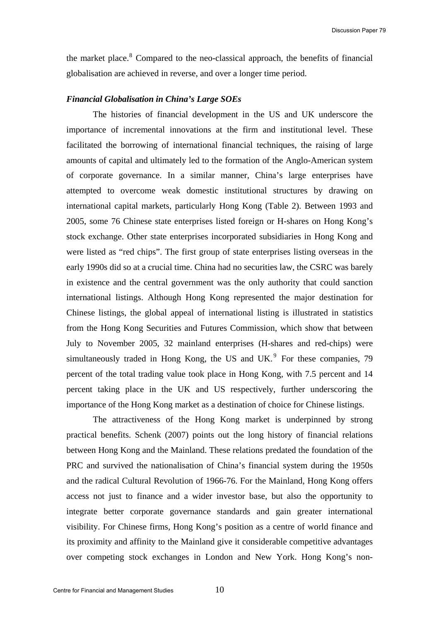the market place. $8$  Compared to the neo-classical approach, the benefits of financial globalisation are achieved in reverse, and over a longer time period.

#### *Financial Globalisation in China's Large SOEs*

The histories of financial development in the US and UK underscore the importance of incremental innovations at the firm and institutional level. These facilitated the borrowing of international financial techniques, the raising of large amounts of capital and ultimately led to the formation of the Anglo-American system of corporate governance. In a similar manner, China's large enterprises have attempted to overcome weak domestic institutional structures by drawing on international capital markets, particularly Hong Kong (Table 2). Between 1993 and 2005, some 76 Chinese state enterprises listed foreign or H-shares on Hong Kong's stock exchange. Other state enterprises incorporated subsidiaries in Hong Kong and were listed as "red chips". The first group of state enterprises listing overseas in the early 1990s did so at a crucial time. China had no securities law, the CSRC was barely in existence and the central government was the only authority that could sanction international listings. Although Hong Kong represented the major destination for Chinese listings, the global appeal of international listing is illustrated in statistics from the Hong Kong Securities and Futures Commission, which show that between July to November 2005, 32 mainland enterprises (H-shares and red-chips) were simultaneously traded in Hong Kong, the US and UK. $<sup>9</sup>$  $<sup>9</sup>$  $<sup>9</sup>$  For these companies, 79</sup> percent of the total trading value took place in Hong Kong, with 7.5 percent and 14 percent taking place in the UK and US respectively, further underscoring the importance of the Hong Kong market as a destination of choice for Chinese listings.

The attractiveness of the Hong Kong market is underpinned by strong practical benefits. Schenk (2007) points out the long history of financial relations between Hong Kong and the Mainland. These relations predated the foundation of the PRC and survived the nationalisation of China's financial system during the 1950s and the radical Cultural Revolution of 1966-76. For the Mainland, Hong Kong offers access not just to finance and a wider investor base, but also the opportunity to integrate better corporate governance standards and gain greater international visibility. For Chinese firms, Hong Kong's position as a centre of world finance and its proximity and affinity to the Mainland give it considerable competitive advantages over competing stock exchanges in London and New York. Hong Kong's non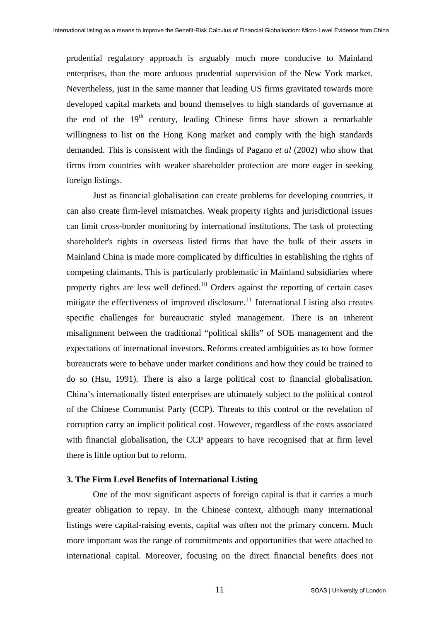prudential regulatory approach is arguably much more conducive to Mainland enterprises, than the more arduous prudential supervision of the New York market. Nevertheless, just in the same manner that leading US firms gravitated towards more developed capital markets and bound themselves to high standards of governance at the end of the  $19<sup>th</sup>$  century, leading Chinese firms have shown a remarkable willingness to list on the Hong Kong market and comply with the high standards demanded. This is consistent with the findings of Pagano *et al* (2002) who show that firms from countries with weaker shareholder protection are more eager in seeking foreign listings.

Just as financial globalisation can create problems for developing countries, it can also create firm-level mismatches. Weak property rights and jurisdictional issues can limit cross-border monitoring by international institutions. The task of protecting shareholder's rights in overseas listed firms that have the bulk of their assets in Mainland China is made more complicated by difficulties in establishing the rights of competing claimants. This is particularly problematic in Mainland subsidiaries where property rights are less well defined.<sup>[10](#page-27-1)</sup> Orders against the reporting of certain cases mitigate the effectiveness of improved disclosure.<sup>[11](#page-27-1)</sup> International Listing also creates specific challenges for bureaucratic styled management. There is an inherent misalignment between the traditional "political skills" of SOE management and the expectations of international investors. Reforms created ambiguities as to how former bureaucrats were to behave under market conditions and how they could be trained to do so (Hsu, 1991). There is also a large political cost to financial globalisation. China's internationally listed enterprises are ultimately subject to the political control of the Chinese Communist Party (CCP). Threats to this control or the revelation of corruption carry an implicit political cost. However, regardless of the costs associated with financial globalisation, the CCP appears to have recognised that at firm level there is little option but to reform.

#### **3. The Firm Level Benefits of International Listing**

One of the most significant aspects of foreign capital is that it carries a much greater obligation to repay. In the Chinese context, although many international listings were capital-raising events, capital was often not the primary concern. Much more important was the range of commitments and opportunities that were attached to international capital. Moreover, focusing on the direct financial benefits does not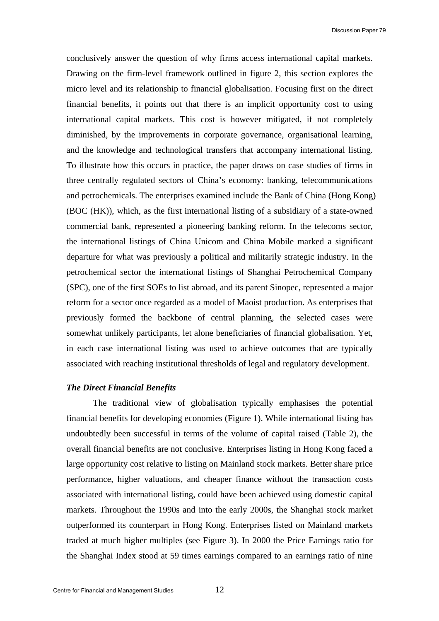conclusively answer the question of why firms access international capital markets. Drawing on the firm-level framework outlined in figure 2, this section explores the micro level and its relationship to financial globalisation. Focusing first on the direct financial benefits, it points out that there is an implicit opportunity cost to using international capital markets. This cost is however mitigated, if not completely diminished, by the improvements in corporate governance, organisational learning, and the knowledge and technological transfers that accompany international listing. To illustrate how this occurs in practice, the paper draws on case studies of firms in three centrally regulated sectors of China's economy: banking, telecommunications and petrochemicals. The enterprises examined include the Bank of China (Hong Kong) (BOC (HK)), which, as the first international listing of a subsidiary of a state-owned commercial bank, represented a pioneering banking reform. In the telecoms sector, the international listings of China Unicom and China Mobile marked a significant departure for what was previously a political and militarily strategic industry. In the petrochemical sector the international listings of Shanghai Petrochemical Company (SPC), one of the first SOEs to list abroad, and its parent Sinopec, represented a major reform for a sector once regarded as a model of Maoist production. As enterprises that previously formed the backbone of central planning, the selected cases were somewhat unlikely participants, let alone beneficiaries of financial globalisation. Yet, in each case international listing was used to achieve outcomes that are typically associated with reaching institutional thresholds of legal and regulatory development.

#### *The Direct Financial Benefits*

The traditional view of globalisation typically emphasises the potential financial benefits for developing economies (Figure 1). While international listing has undoubtedly been successful in terms of the volume of capital raised (Table 2), the overall financial benefits are not conclusive. Enterprises listing in Hong Kong faced a large opportunity cost relative to listing on Mainland stock markets. Better share price performance, higher valuations, and cheaper finance without the transaction costs associated with international listing, could have been achieved using domestic capital markets. Throughout the 1990s and into the early 2000s, the Shanghai stock market outperformed its counterpart in Hong Kong. Enterprises listed on Mainland markets traded at much higher multiples (see Figure 3). In 2000 the Price Earnings ratio for the Shanghai Index stood at 59 times earnings compared to an earnings ratio of nine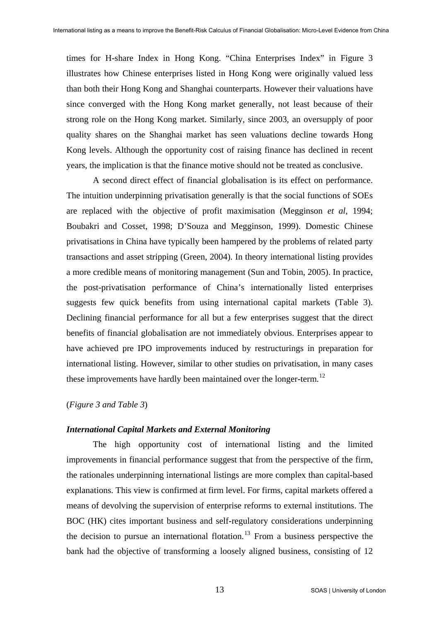times for H-share Index in Hong Kong. "China Enterprises Index" in Figure 3 illustrates how Chinese enterprises listed in Hong Kong were originally valued less than both their Hong Kong and Shanghai counterparts. However their valuations have since converged with the Hong Kong market generally, not least because of their strong role on the Hong Kong market. Similarly, since 2003, an oversupply of poor quality shares on the Shanghai market has seen valuations decline towards Hong Kong levels. Although the opportunity cost of raising finance has declined in recent years, the implication is that the finance motive should not be treated as conclusive.

A second direct effect of financial globalisation is its effect on performance. The intuition underpinning privatisation generally is that the social functions of SOEs are replaced with the objective of profit maximisation (Megginson *et al*, 1994; Boubakri and Cosset, 1998; D'Souza and Megginson, 1999). Domestic Chinese privatisations in China have typically been hampered by the problems of related party transactions and asset stripping (Green, 2004). In theory international listing provides a more credible means of monitoring management (Sun and Tobin, 2005). In practice, the post-privatisation performance of China's internationally listed enterprises suggests few quick benefits from using international capital markets (Table 3). Declining financial performance for all but a few enterprises suggest that the direct benefits of financial globalisation are not immediately obvious. Enterprises appear to have achieved pre IPO improvements induced by restructurings in preparation for international listing. However, similar to other studies on privatisation, in many cases these improvements have hardly been maintained over the longer-term.<sup>[12](#page-27-1)</sup>

#### (*Figure 3 and Table 3*)

#### *International Capital Markets and External Monitoring*

The high opportunity cost of international listing and the limited improvements in financial performance suggest that from the perspective of the firm, the rationales underpinning international listings are more complex than capital-based explanations. This view is confirmed at firm level. For firms, capital markets offered a means of devolving the supervision of enterprise reforms to external institutions. The BOC (HK) cites important business and self-regulatory considerations underpinning the decision to pursue an international flotation.<sup>[13](#page-27-1)</sup> From a business perspective the bank had the objective of transforming a loosely aligned business, consisting of 12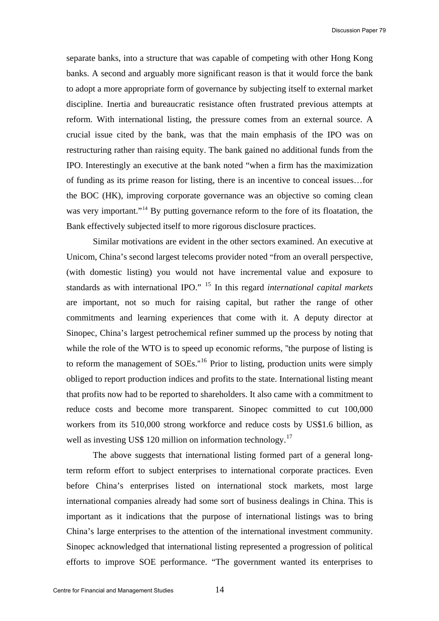separate banks, into a structure that was capable of competing with other Hong Kong banks. A second and arguably more significant reason is that it would force the bank to adopt a more appropriate form of governance by subjecting itself to external market discipline. Inertia and bureaucratic resistance often frustrated previous attempts at reform. With international listing, the pressure comes from an external source. A crucial issue cited by the bank, was that the main emphasis of the IPO was on restructuring rather than raising equity. The bank gained no additional funds from the IPO. Interestingly an executive at the bank noted "when a firm has the maximization of funding as its prime reason for listing, there is an incentive to conceal issues…for the BOC (HK), improving corporate governance was an objective so coming clean was very important."<sup>[14](#page-27-1)</sup> By putting governance reform to the fore of its floatation, the Bank effectively subjected itself to more rigorous disclosure practices.

Similar motivations are evident in the other sectors examined. An executive at Unicom, China's second largest telecoms provider noted "from an overall perspective, (with domestic listing) you would not have incremental value and exposure to standards as with international IPO." [15](#page-27-1) In this regard *international capital markets* are important, not so much for raising capital, but rather the range of other commitments and learning experiences that come with it. A deputy director at Sinopec, China's largest petrochemical refiner summed up the process by noting that while the role of the WTO is to speed up economic reforms, "the purpose of listing is to reform the management of SOEs.''[16](#page-27-1) Prior to listing, production units were simply obliged to report production indices and profits to the state. International listing meant that profits now had to be reported to shareholders. It also came with a commitment to reduce costs and become more transparent. Sinopec committed to cut 100,000 workers from its 510,000 strong workforce and reduce costs by US\$1.6 billion, as well as investing US\$ 120 million on information technology.<sup>[17](#page-27-1)</sup>

The above suggests that international listing formed part of a general longterm reform effort to subject enterprises to international corporate practices. Even before China's enterprises listed on international stock markets, most large international companies already had some sort of business dealings in China. This is important as it indications that the purpose of international listings was to bring China's large enterprises to the attention of the international investment community. Sinopec acknowledged that international listing represented a progression of political efforts to improve SOE performance. "The government wanted its enterprises to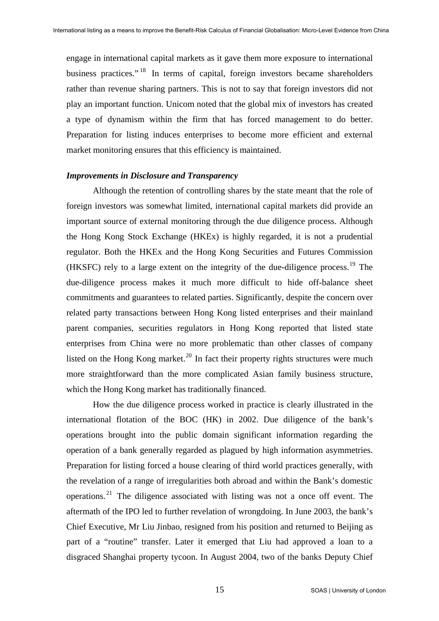engage in international capital markets as it gave them more exposure to international business practices."<sup>[18](#page-27-1)</sup> In terms of capital, foreign investors became shareholders rather than revenue sharing partners. This is not to say that foreign investors did not play an important function. Unicom noted that the global mix of investors has created a type of dynamism within the firm that has forced management to do better. Preparation for listing induces enterprises to become more efficient and external market monitoring ensures that this efficiency is maintained.

#### *Improvements in Disclosure and Transparency*

Although the retention of controlling shares by the state meant that the role of foreign investors was somewhat limited, international capital markets did provide an important source of external monitoring through the due diligence process. Although the Hong Kong Stock Exchange (HKEx) is highly regarded, it is not a prudential regulator. Both the HKEx and the Hong Kong Securities and Futures Commission (HKSFC) rely to a large extent on the integrity of the due-diligence process.[19](#page-27-1) The due-diligence process makes it much more difficult to hide off-balance sheet commitments and guarantees to related parties. Significantly, despite the concern over related party transactions between Hong Kong listed enterprises and their mainland parent companies, securities regulators in Hong Kong reported that listed state enterprises from China were no more problematic than other classes of company listed on the Hong Kong market.<sup>[20](#page-27-1)</sup> In fact their property rights structures were much more straightforward than the more complicated Asian family business structure, which the Hong Kong market has traditionally financed.

How the due diligence process worked in practice is clearly illustrated in the international flotation of the BOC (HK) in 2002. Due diligence of the bank's operations brought into the public domain significant information regarding the operation of a bank generally regarded as plagued by high information asymmetries. Preparation for listing forced a house clearing of third world practices generally, with the revelation of a range of irregularities both abroad and within the Bank's domestic operations.<sup>[21](#page-27-1)</sup> The diligence associated with listing was not a once off event. The aftermath of the IPO led to further revelation of wrongdoing. In June 2003, the bank's Chief Executive, Mr Liu Jinbao, resigned from his position and returned to Beijing as part of a "routine" transfer. Later it emerged that Liu had approved a loan to a disgraced Shanghai property tycoon. In August 2004, two of the banks Deputy Chief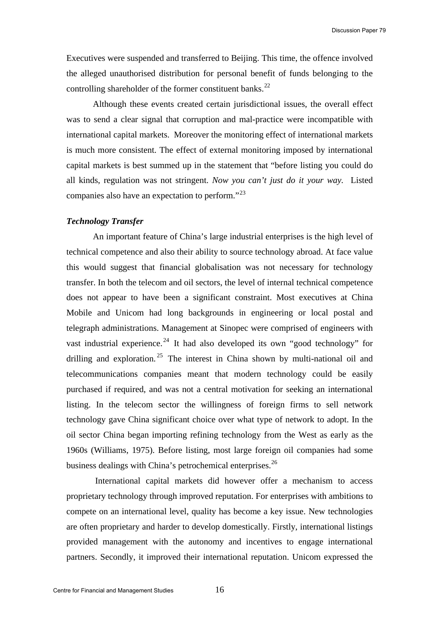Executives were suspended and transferred to Beijing. This time, the offence involved the alleged unauthorised distribution for personal benefit of funds belonging to the controlling shareholder of the former constituent banks. $^{22}$  $^{22}$  $^{22}$ 

Although these events created certain jurisdictional issues, the overall effect was to send a clear signal that corruption and mal-practice were incompatible with international capital markets. Moreover the monitoring effect of international markets is much more consistent. The effect of external monitoring imposed by international capital markets is best summed up in the statement that "before listing you could do all kinds, regulation was not stringent. *Now you can't just do it your way.* Listed companies also have an expectation to perform."<sup>[23](#page-27-1)</sup>

## *Technology Transfer*

An important feature of China's large industrial enterprises is the high level of technical competence and also their ability to source technology abroad. At face value this would suggest that financial globalisation was not necessary for technology transfer. In both the telecom and oil sectors, the level of internal technical competence does not appear to have been a significant constraint. Most executives at China Mobile and Unicom had long backgrounds in engineering or local postal and telegraph administrations. Management at Sinopec were comprised of engineers with vast industrial experience.<sup>[24](#page-28-0)</sup> It had also developed its own "good technology" for drilling and exploration.<sup>[25](#page-28-0)</sup> The interest in China shown by multi-national oil and telecommunications companies meant that modern technology could be easily purchased if required, and was not a central motivation for seeking an international listing. In the telecom sector the willingness of foreign firms to sell network technology gave China significant choice over what type of network to adopt. In the oil sector China began importing refining technology from the West as early as the 1960s (Williams, 1975). Before listing, most large foreign oil companies had some business dealings with China's petrochemical enterprises.<sup>[26](#page-28-0)</sup>

 International capital markets did however offer a mechanism to access proprietary technology through improved reputation. For enterprises with ambitions to compete on an international level, quality has become a key issue. New technologies are often proprietary and harder to develop domestically. Firstly, international listings provided management with the autonomy and incentives to engage international partners. Secondly, it improved their international reputation. Unicom expressed the

16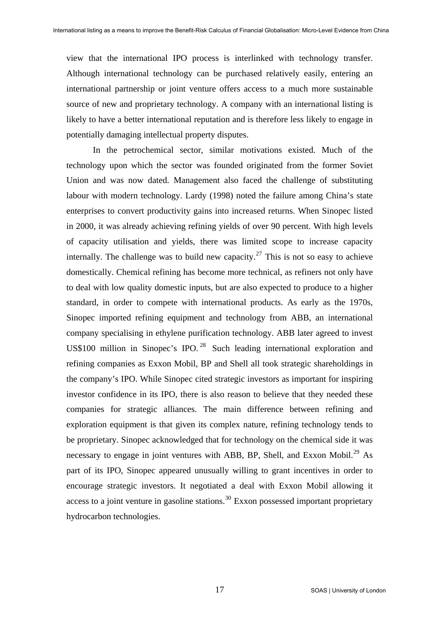view that the international IPO process is interlinked with technology transfer. Although international technology can be purchased relatively easily, entering an international partnership or joint venture offers access to a much more sustainable source of new and proprietary technology. A company with an international listing is likely to have a better international reputation and is therefore less likely to engage in potentially damaging intellectual property disputes.

In the petrochemical sector, similar motivations existed. Much of the technology upon which the sector was founded originated from the former Soviet Union and was now dated. Management also faced the challenge of substituting labour with modern technology. Lardy (1998) noted the failure among China's state enterprises to convert productivity gains into increased returns. When Sinopec listed in 2000, it was already achieving refining yields of over 90 percent. With high levels of capacity utilisation and yields, there was limited scope to increase capacity internally. The challenge was to build new capacity.<sup>[27](#page-28-0)</sup> This is not so easy to achieve domestically. Chemical refining has become more technical, as refiners not only have to deal with low quality domestic inputs, but are also expected to produce to a higher standard, in order to compete with international products. As early as the 1970s, Sinopec imported refining equipment and technology from ABB, an international company specialising in ethylene purification technology. ABB later agreed to invest US\$100 million in Sinopec's IPO.<sup>[28](#page-28-0)</sup> Such leading international exploration and refining companies as Exxon Mobil, BP and Shell all took strategic shareholdings in the company's IPO. While Sinopec cited strategic investors as important for inspiring investor confidence in its IPO, there is also reason to believe that they needed these companies for strategic alliances. The main difference between refining and exploration equipment is that given its complex nature, refining technology tends to be proprietary. Sinopec acknowledged that for technology on the chemical side it was necessary to engage in joint ventures with ABB, BP, Shell, and Exxon Mobil.<sup>[29](#page-28-0)</sup> As part of its IPO, Sinopec appeared unusually willing to grant incentives in order to encourage strategic investors. It negotiated a deal with Exxon Mobil allowing it access to a joint venture in gasoline stations.<sup>[30](#page-28-0)</sup> Exxon possessed important proprietary hydrocarbon technologies.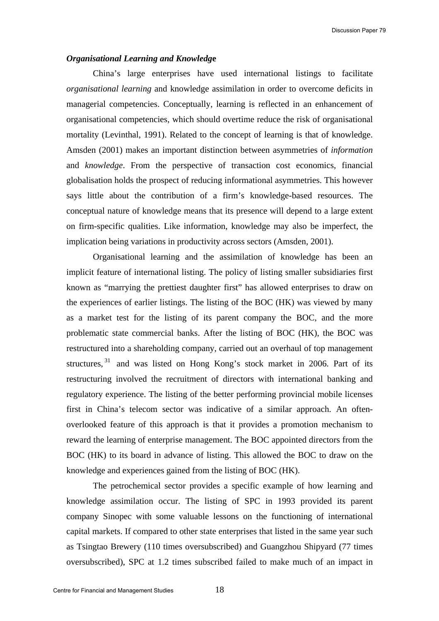#### *Organisational Learning and Knowledg***e**

China's large enterprises have used international listings to facilitate *organisational learning* and knowledge assimilation in order to overcome deficits in managerial competencies. Conceptually, learning is reflected in an enhancement of organisational competencies, which should overtime reduce the risk of organisational mortality (Levinthal, 1991). Related to the concept of learning is that of knowledge. Amsden (2001) makes an important distinction between asymmetries of *information* and *knowledge*. From the perspective of transaction cost economics, financial globalisation holds the prospect of reducing informational asymmetries. This however says little about the contribution of a firm's knowledge-based resources. The conceptual nature of knowledge means that its presence will depend to a large extent on firm-specific qualities. Like information, knowledge may also be imperfect, the implication being variations in productivity across sectors (Amsden, 2001).

Organisational learning and the assimilation of knowledge has been an implicit feature of international listing. The policy of listing smaller subsidiaries first known as "marrying the prettiest daughter first" has allowed enterprises to draw on the experiences of earlier listings. The listing of the BOC (HK) was viewed by many as a market test for the listing of its parent company the BOC, and the more problematic state commercial banks. After the listing of BOC (HK), the BOC was restructured into a shareholding company, carried out an overhaul of top management structures, <sup>[31](#page-28-0)</sup> and was listed on Hong Kong's stock market in 2006. Part of its restructuring involved the recruitment of directors with international banking and regulatory experience. The listing of the better performing provincial mobile licenses first in China's telecom sector was indicative of a similar approach. An oftenoverlooked feature of this approach is that it provides a promotion mechanism to reward the learning of enterprise management. The BOC appointed directors from the BOC (HK) to its board in advance of listing. This allowed the BOC to draw on the knowledge and experiences gained from the listing of BOC (HK).

The petrochemical sector provides a specific example of how learning and knowledge assimilation occur. The listing of SPC in 1993 provided its parent company Sinopec with some valuable lessons on the functioning of international capital markets. If compared to other state enterprises that listed in the same year such as Tsingtao Brewery (110 times oversubscribed) and Guangzhou Shipyard (77 times oversubscribed), SPC at 1.2 times subscribed failed to make much of an impact in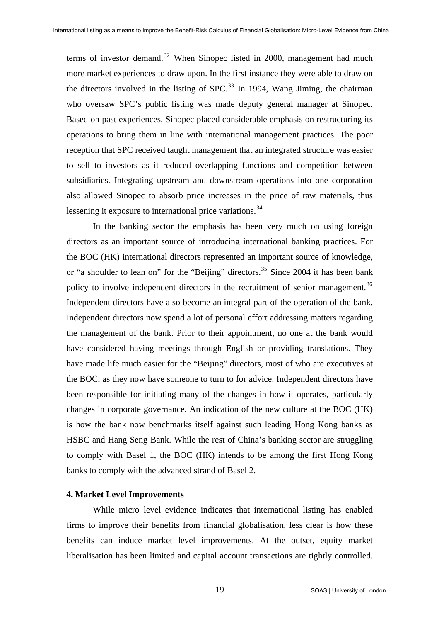terms of investor demand.<sup>[32](#page-28-0)</sup> When Sinopec listed in 2000, management had much more market experiences to draw upon. In the first instance they were able to draw on the directors involved in the listing of  $SPC<sup>33</sup>$  $SPC<sup>33</sup>$  $SPC<sup>33</sup>$  In 1994, Wang Jiming, the chairman who oversaw SPC's public listing was made deputy general manager at Sinopec. Based on past experiences, Sinopec placed considerable emphasis on restructuring its operations to bring them in line with international management practices. The poor reception that SPC received taught management that an integrated structure was easier to sell to investors as it reduced overlapping functions and competition between subsidiaries. Integrating upstream and downstream operations into one corporation also allowed Sinopec to absorb price increases in the price of raw materials, thus lessening it exposure to international price variations.<sup>[34](#page-28-0)</sup>

In the banking sector the emphasis has been very much on using foreign directors as an important source of introducing international banking practices. For the BOC (HK) international directors represented an important source of knowledge, or "a shoulder to lean on" for the "Beijing" directors.<sup>[35](#page-28-0)</sup> Since 2004 it has been bank policy to involve independent directors in the recruitment of senior management.<sup>[36](#page-28-0)</sup> Independent directors have also become an integral part of the operation of the bank. Independent directors now spend a lot of personal effort addressing matters regarding the management of the bank. Prior to their appointment, no one at the bank would have considered having meetings through English or providing translations. They have made life much easier for the "Beijing" directors, most of who are executives at the BOC, as they now have someone to turn to for advice. Independent directors have been responsible for initiating many of the changes in how it operates, particularly changes in corporate governance. An indication of the new culture at the BOC (HK) is how the bank now benchmarks itself against such leading Hong Kong banks as HSBC and Hang Seng Bank. While the rest of China's banking sector are struggling to comply with Basel 1, the BOC (HK) intends to be among the first Hong Kong banks to comply with the advanced strand of Basel 2.

#### **4. Market Level Improvements**

While micro level evidence indicates that international listing has enabled firms to improve their benefits from financial globalisation, less clear is how these benefits can induce market level improvements. At the outset, equity market liberalisation has been limited and capital account transactions are tightly controlled.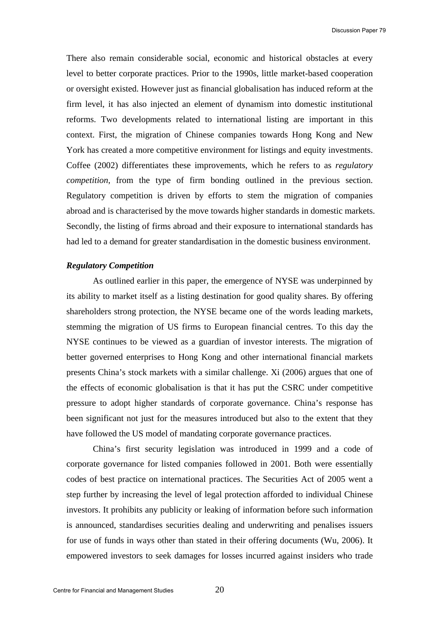There also remain considerable social, economic and historical obstacles at every level to better corporate practices. Prior to the 1990s, little market-based cooperation or oversight existed. However just as financial globalisation has induced reform at the firm level, it has also injected an element of dynamism into domestic institutional reforms. Two developments related to international listing are important in this context. First, the migration of Chinese companies towards Hong Kong and New York has created a more competitive environment for listings and equity investments. Coffee (2002) differentiates these improvements, which he refers to as *regulatory competition*, from the type of firm bonding outlined in the previous section. Regulatory competition is driven by efforts to stem the migration of companies abroad and is characterised by the move towards higher standards in domestic markets. Secondly, the listing of firms abroad and their exposure to international standards has had led to a demand for greater standardisation in the domestic business environment.

#### *Regulatory Competition*

As outlined earlier in this paper, the emergence of NYSE was underpinned by its ability to market itself as a listing destination for good quality shares. By offering shareholders strong protection, the NYSE became one of the words leading markets, stemming the migration of US firms to European financial centres. To this day the NYSE continues to be viewed as a guardian of investor interests. The migration of better governed enterprises to Hong Kong and other international financial markets presents China's stock markets with a similar challenge. Xi (2006) argues that one of the effects of economic globalisation is that it has put the CSRC under competitive pressure to adopt higher standards of corporate governance. China's response has been significant not just for the measures introduced but also to the extent that they have followed the US model of mandating corporate governance practices.

China's first security legislation was introduced in 1999 and a code of corporate governance for listed companies followed in 2001. Both were essentially codes of best practice on international practices. The Securities Act of 2005 went a step further by increasing the level of legal protection afforded to individual Chinese investors. It prohibits any publicity or leaking of information before such information is announced, standardises securities dealing and underwriting and penalises issuers for use of funds in ways other than stated in their offering documents (Wu, 2006). It empowered investors to seek damages for losses incurred against insiders who trade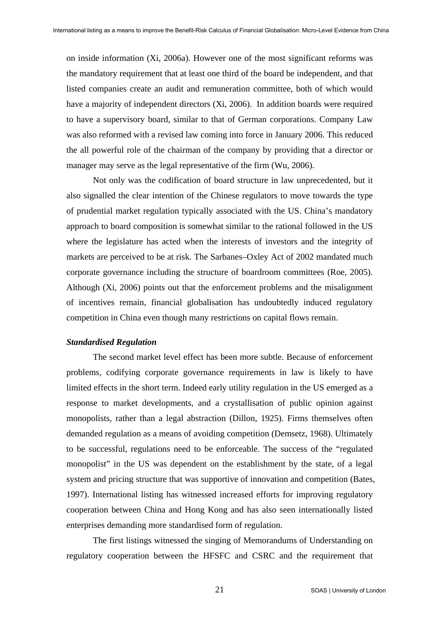on inside information (Xi, 2006a). However one of the most significant reforms was the mandatory requirement that at least one third of the board be independent, and that listed companies create an audit and remuneration committee, both of which would have a majority of independent directors (Xi, 2006). In addition boards were required to have a supervisory board, similar to that of German corporations. Company Law was also reformed with a revised law coming into force in January 2006. This reduced the all powerful role of the chairman of the company by providing that a director or manager may serve as the legal representative of the firm (Wu, 2006).

Not only was the codification of board structure in law unprecedented, but it also signalled the clear intention of the Chinese regulators to move towards the type of prudential market regulation typically associated with the US. China's mandatory approach to board composition is somewhat similar to the rational followed in the US where the legislature has acted when the interests of investors and the integrity of markets are perceived to be at risk. The Sarbanes–Oxley Act of 2002 mandated much corporate governance including the structure of boardroom committees (Roe, 2005). Although (Xi, 2006) points out that the enforcement problems and the misalignment of incentives remain, financial globalisation has undoubtedly induced regulatory competition in China even though many restrictions on capital flows remain.

#### *Standardised Regulation*

The second market level effect has been more subtle. Because of enforcement problems, codifying corporate governance requirements in law is likely to have limited effects in the short term. Indeed early utility regulation in the US emerged as a response to market developments, and a crystallisation of public opinion against monopolists, rather than a legal abstraction (Dillon, 1925). Firms themselves often demanded regulation as a means of avoiding competition (Demsetz, 1968). Ultimately to be successful, regulations need to be enforceable. The success of the "regulated monopolist" in the US was dependent on the establishment by the state, of a legal system and pricing structure that was supportive of innovation and competition (Bates, 1997). International listing has witnessed increased efforts for improving regulatory cooperation between China and Hong Kong and has also seen internationally listed enterprises demanding more standardised form of regulation.

The first listings witnessed the singing of Memorandums of Understanding on regulatory cooperation between the HFSFC and CSRC and the requirement that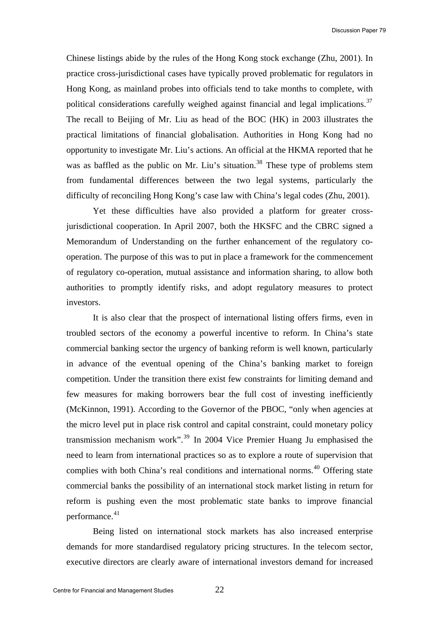Chinese listings abide by the rules of the Hong Kong stock exchange (Zhu, 2001). In practice cross-jurisdictional cases have typically proved problematic for regulators in Hong Kong, as mainland probes into officials tend to take months to complete, with political considerations carefully weighed against financial and legal implications.<sup>[37](#page-28-0)</sup> The recall to Beijing of Mr. Liu as head of the BOC (HK) in 2003 illustrates the practical limitations of financial globalisation. Authorities in Hong Kong had no opportunity to investigate Mr. Liu's actions. An official at the HKMA reported that he was as baffled as the public on Mr. Liu's situation.<sup>[38](#page-28-0)</sup> These type of problems stem from fundamental differences between the two legal systems, particularly the difficulty of reconciling Hong Kong's case law with China's legal codes (Zhu, 2001).

Yet these difficulties have also provided a platform for greater crossjurisdictional cooperation. In April 2007, both the HKSFC and the CBRC signed a Memorandum of Understanding on the further enhancement of the regulatory cooperation. The purpose of this was to put in place a framework for the commencement of regulatory co-operation, mutual assistance and information sharing, to allow both authorities to promptly identify risks, and adopt regulatory measures to protect investors.

It is also clear that the prospect of international listing offers firms, even in troubled sectors of the economy a powerful incentive to reform. In China's state commercial banking sector the urgency of banking reform is well known, particularly in advance of the eventual opening of the China's banking market to foreign competition. Under the transition there exist few constraints for limiting demand and few measures for making borrowers bear the full cost of investing inefficiently (McKinnon, 1991). According to the Governor of the PBOC, "only when agencies at the micro level put in place risk control and capital constraint, could monetary policy transmission mechanism work".<sup>[39](#page-28-0)</sup> In 2004 Vice Premier Huang Ju emphasised the need to learn from international practices so as to explore a route of supervision that complies with both China's real conditions and international norms.<sup>[40](#page-28-0)</sup> Offering state commercial banks the possibility of an international stock market listing in return for reform is pushing even the most problematic state banks to improve financial performance.<sup>[41](#page-28-0)</sup>

Being listed on international stock markets has also increased enterprise demands for more standardised regulatory pricing structures. In the telecom sector, executive directors are clearly aware of international investors demand for increased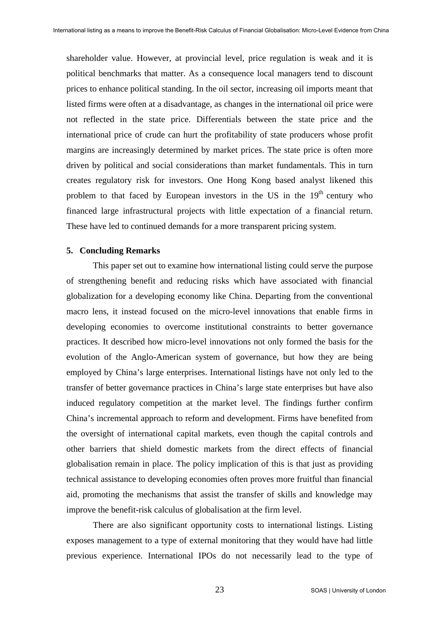shareholder value. However, at provincial level, price regulation is weak and it is political benchmarks that matter. As a consequence local managers tend to discount prices to enhance political standing. In the oil sector, increasing oil imports meant that listed firms were often at a disadvantage, as changes in the international oil price were not reflected in the state price. Differentials between the state price and the international price of crude can hurt the profitability of state producers whose profit margins are increasingly determined by market prices. The state price is often more driven by political and social considerations than market fundamentals. This in turn creates regulatory risk for investors. One Hong Kong based analyst likened this problem to that faced by European investors in the US in the  $19<sup>th</sup>$  century who financed large infrastructural projects with little expectation of a financial return. These have led to continued demands for a more transparent pricing system.

#### **5. Concluding Remarks**

This paper set out to examine how international listing could serve the purpose of strengthening benefit and reducing risks which have associated with financial globalization for a developing economy like China. Departing from the conventional macro lens, it instead focused on the micro-level innovations that enable firms in developing economies to overcome institutional constraints to better governance practices. It described how micro-level innovations not only formed the basis for the evolution of the Anglo-American system of governance, but how they are being employed by China's large enterprises. International listings have not only led to the transfer of better governance practices in China's large state enterprises but have also induced regulatory competition at the market level. The findings further confirm China's incremental approach to reform and development. Firms have benefited from the oversight of international capital markets, even though the capital controls and other barriers that shield domestic markets from the direct effects of financial globalisation remain in place. The policy implication of this is that just as providing technical assistance to developing economies often proves more fruitful than financial aid, promoting the mechanisms that assist the transfer of skills and knowledge may improve the benefit-risk calculus of globalisation at the firm level.

There are also significant opportunity costs to international listings. Listing exposes management to a type of external monitoring that they would have had little previous experience. International IPOs do not necessarily lead to the type of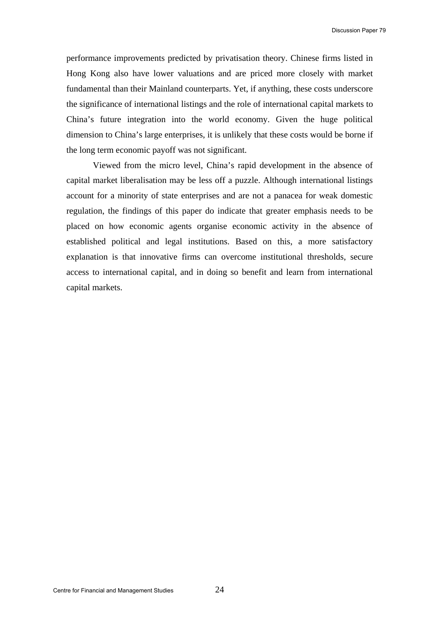performance improvements predicted by privatisation theory. Chinese firms listed in Hong Kong also have lower valuations and are priced more closely with market fundamental than their Mainland counterparts. Yet, if anything, these costs underscore the significance of international listings and the role of international capital markets to China's future integration into the world economy. Given the huge political dimension to China's large enterprises, it is unlikely that these costs would be borne if the long term economic payoff was not significant.

Viewed from the micro level, China's rapid development in the absence of capital market liberalisation may be less off a puzzle. Although international listings account for a minority of state enterprises and are not a panacea for weak domestic regulation, the findings of this paper do indicate that greater emphasis needs to be placed on how economic agents organise economic activity in the absence of established political and legal institutions. Based on this, a more satisfactory explanation is that innovative firms can overcome institutional thresholds, secure access to international capital, and in doing so benefit and learn from international capital markets.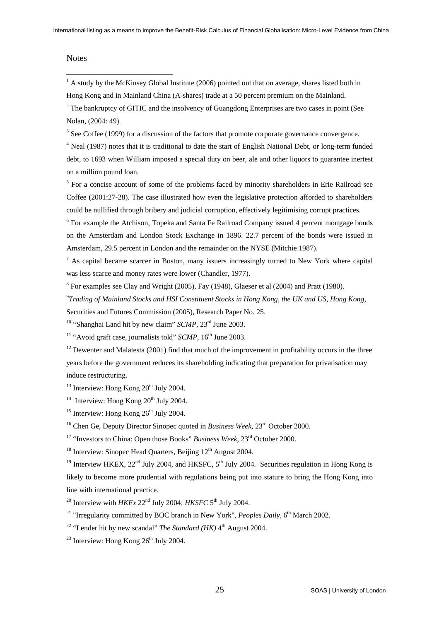#### **Notes**

 $\overline{a}$ 

 $<sup>1</sup>$  A study by the McKinsey Global Institute (2006) pointed out that on average, shares listed both in</sup>

Hong Kong and in Mainland China (A-shares) trade at a 50 percent premium on the Mainland.

 $2^2$  The bankruptcy of GITIC and the insolvency of Guangdong Enterprises are two cases in point (See Nolan, (2004: 49).

 $3$  See Coffee (1999) for a discussion of the factors that promote corporate governance convergence.

<sup>4</sup> Neal (1987) notes that it is traditional to date the start of English National Debt, or long-term funded debt, to 1693 when William imposed a special duty on beer, ale and other liquors to guarantee inertest on a million pound loan.

 $<sup>5</sup>$  For a concise account of some of the problems faced by minority shareholders in Erie Railroad see</sup> Coffee (2001:27-28). The case illustrated how even the legislative protection afforded to shareholders could be nullified through bribery and judicial corruption, effectively legitimising corrupt practices.

<sup>6</sup> For example the Atchison, Topeka and Santa Fe Railroad Company issued 4 percent mortgage bonds on the Amsterdam and London Stock Exchange in 1896. 22.7 percent of the bonds were issued in Amsterdam, 29.5 percent in London and the remainder on the NYSE (Mitchie 1987).

 $<sup>7</sup>$  As capital became scarcer in Boston, many issuers increasingly turned to New York where capital</sup> was less scarce and money rates were lower (Chandler, 1977).

 $8$  For examples see Clay and Wright (2005), Fay (1948), Glaeser et al (2004) and Pratt (1980).

9 *Trading of Mainland Stocks and HSI Constituent Stocks in Hong Kong, the UK and US, Hong Kong*, Securities and Futures Commission (2005), Research Paper No. 25.

<sup>10</sup> "Shanghai Land hit by new claim" *SCMP*, 23<sup>rd</sup> June 2003.

<sup>11</sup> "Avoid graft case, journalists told" *SCMP*, 16<sup>th</sup> June 2003.

 $12$  Dewenter and Malatesta (2001) find that much of the improvement in profitability occurs in the three years before the government reduces its shareholding indicating that preparation for privatisation may induce restructuring.

 $13$  Interview: Hong Kong  $20<sup>th</sup>$  July 2004.

<sup>14</sup> Interview: Hong Kong  $20^{th}$  July 2004.

<sup>15</sup> Interview: Hong Kong  $26<sup>th</sup>$  July 2004.

<sup>16</sup> Chen Ge, Deputy Director Sinopec quoted in *Business Week*,  $23^{\text{rd}}$  October 2000.

17 "Investors to China: Open those Books" *Business Week*, 23rd October 2000.

 $18$  Interview: Sinopec Head Quarters, Beijing  $12<sup>th</sup>$  August 2004.

<sup>19</sup> Interview HKEX, 22<sup>nd</sup> July 2004, and HKSFC,  $5<sup>th</sup>$  July 2004. Securities regulation in Hong Kong is likely to become more prudential with regulations being put into stature to bring the Hong Kong into line with international practice.

<sup>20</sup> Interview with  $HKEx$   $22<sup>nd</sup>$  July 2004;  $HKSFC$  5<sup>th</sup> July 2004.

<sup>21</sup> "Irregularity committed by BOC branch in New York", *Peoples Daily*, 6<sup>th</sup> March 2002.

<sup>22</sup> "Lender hit by new scandal" *The Standard (HK)*  $4<sup>th</sup>$  August 2004.

 $^{23}$  Interview: Hong Kong  $26^{th}$  July 2004.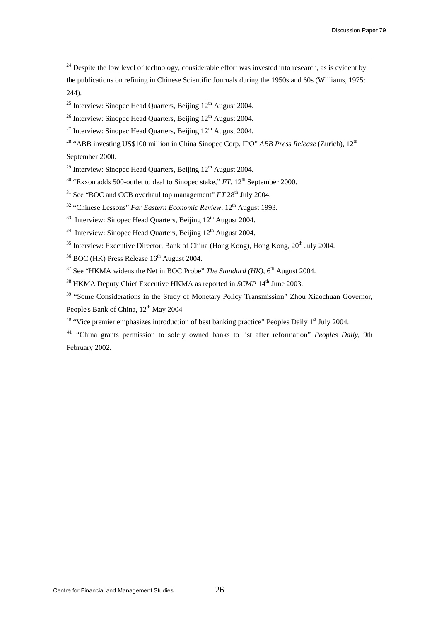$24$  Despite the low level of technology, considerable effort was invested into research, as is evident by the publications on refining in Chinese Scientific Journals during the 1950s and 60s (Williams, 1975: 244).

 $25$  Interview: Sinopec Head Quarters, Beijing  $12<sup>th</sup>$  August 2004.

<sup>26</sup> Interview: Sinopec Head Quarters, Beijing  $12<sup>th</sup>$  August 2004.

<sup>27</sup> Interview: Sinopec Head Quarters, Beijing  $12<sup>th</sup>$  August 2004.

<sup>28</sup> "ABB investing US\$100 million in China Sinopec Corp. IPO" *ABB Press Release* (Zurich), 12<sup>th</sup>

September 2000.

 $29$  Interview: Sinopec Head Quarters, Beijing  $12<sup>th</sup>$  August 2004.

<sup>30</sup> "Exxon adds 500-outlet to deal to Sinopec stake," *FT*, 12<sup>th</sup> September 2000.

 $31$  See "BOC and CCB overhaul top management"  $FT 28<sup>th</sup>$  July 2004.

<sup>32</sup> "Chinese Lessons" *Far Eastern Economic Review*, 12<sup>th</sup> August 1993.

 $33$  Interview: Sinopec Head Quarters, Beijing  $12<sup>th</sup>$  August 2004.

 $34$  Interview: Sinopec Head Quarters, Beijing  $12<sup>th</sup>$  August 2004.

 $35$  Interview: Executive Director, Bank of China (Hong Kong), Hong Kong,  $20^{th}$  July 2004.

 $36$  BOC (HK) Press Release  $16<sup>th</sup>$  August 2004.

 $37$  See "HKMA widens the Net in BOC Probe" *The Standard (HK)*,  $6<sup>th</sup>$  August 2004.

<sup>38</sup> HKMA Deputy Chief Executive HKMA as reported in *SCMP* 14<sup>th</sup> June 2003.

<sup>39</sup> "Some Considerations in the Study of Monetary Policy Transmission" Zhou Xiaochuan Governor, People's Bank of China, 12<sup>th</sup> May 2004

 $40$  "Vice premier emphasizes introduction of best banking practice" Peoples Daily  $1<sup>st</sup>$  July 2004.

41 "China grants permission to solely owned banks to list after reformation" *Peoples Daily*, 9th February 2002.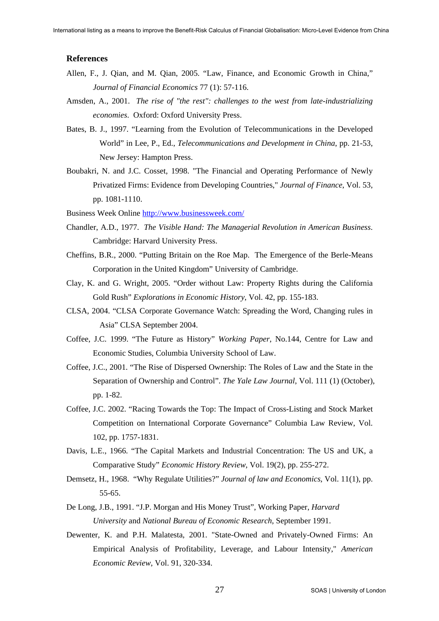#### <span id="page-27-1"></span>**References**

- <span id="page-27-0"></span>Allen, F., J. Qian, and M. Qian, 2005. "Law, Finance, and Economic Growth in China," *Journal of Financial Economics* 77 (1): 57-116.
- Amsden, A., 2001. *The rise of "the rest": challenges to the west from late-industrializing economies*. Oxford: Oxford University Press.
- Bates, B. J., 1997. "Learning from the Evolution of Telecommunications in the Developed World" in Lee, P., Ed., *Telecommunications and Development in China*, pp. 21-53, New Jersey: Hampton Press.
- Boubakri, N. and J.C. Cosset, 1998. "The Financial and Operating Performance of Newly Privatized Firms: Evidence from Developing Countries," *Journal of Finance*, Vol. 53, pp. 1081-1110.
- Business Week Online <http://www.businessweek.com/>
- Chandler, A.D., 1977. *The Visible Hand: The Managerial Revolution in American Business*. Cambridge: Harvard University Press.
- Cheffins, B.R., 2000. "Putting Britain on the Roe Map. The Emergence of the Berle-Means Corporation in the United Kingdom" University of Cambridge.
- Clay, K. and G. Wright, 2005. "Order without Law: Property Rights during the California Gold Rush" *Explorations in Economic History*, Vol. 42, pp. 155-183.
- CLSA, 2004. "CLSA Corporate Governance Watch: Spreading the Word, Changing rules in Asia" CLSA September 2004.
- Coffee, J.C. 1999. "The Future as History" *Working Paper*, No.144, Centre for Law and Economic Studies, Columbia University School of Law.
- Coffee, J.C., 2001. "The Rise of Dispersed Ownership: The Roles of Law and the State in the Separation of Ownership and Control". *The Yale Law Journal*, Vol. 111 (1) (October), pp. 1-82.
- Coffee, J.C. 2002. "Racing Towards the Top: The Impact of Cross-Listing and Stock Market Competition on International Corporate Governance" Columbia Law Review, Vol. 102, pp. 1757-1831.
- Davis, L.E., 1966. "The Capital Markets and Industrial Concentration: The US and UK, a Comparative Study" *Economic History Review*, Vol. 19(2), pp. 255-272.
- Demsetz, H., 1968. "Why Regulate Utilities?" *Journal of law and Economics*, Vol. 11(1), pp. 55-65.
- De Long, J.B., 1991. "J.P. Morgan and His Money Trust", Working Paper, *Harvard University* and *National Bureau of Economic Research*, September 1991.
- Dewenter, K. and P.H. Malatesta, 2001. "State-Owned and Privately-Owned Firms: An Empirical Analysis of Profitability, Leverage, and Labour Intensity," *American Economic Review*, Vol. 91, 320-334.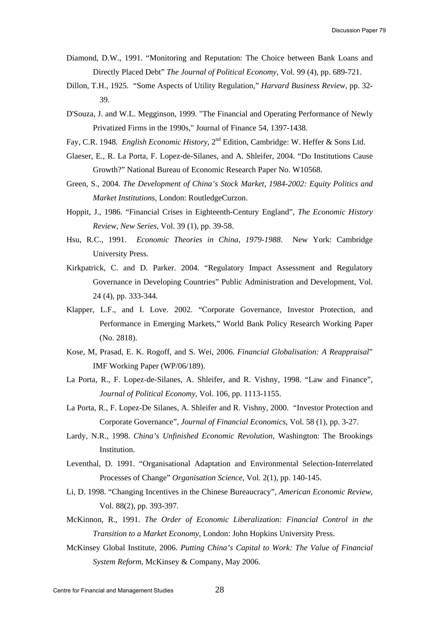- <span id="page-28-0"></span>Diamond, D.W., 1991. "Monitoring and Reputation: The Choice between Bank Loans and Directly Placed Debt" *The Journal of Political Economy*, Vol. 99 (4), pp. 689-721.
- Dillon, T.H., 1925. "Some Aspects of Utility Regulation," *Harvard Business Review*, pp. 32- 39.
- D'Souza, J. and W.L. Megginson, 1999. "The Financial and Operating Performance of Newly Privatized Firms in the 1990s," Journal of Finance 54, 1397-1438.
- Fay, C.R. 1948. *English Economic History*, 2nd Edition, Cambridge: W. Heffer & Sons Ltd.
- Glaeser, E., R. La Porta, F. Lopez-de-Silanes, and A. Shleifer, 2004. "Do Institutions Cause Growth?" National Bureau of Economic Research Paper No. W10568.
- Green, S., 2004. *The Development of China's Stock Market, 1984-2002: Equity Politics and Market Institutions*, London: RoutledgeCurzon.
- Hoppit, J., 1986. "Financial Crises in Eighteenth-Century England", *The Economic History Review, New Series*, Vol. 39 (1), pp. 39-58.
- Hsu, R.C., 1991. *Economic Theories in China, 1979-1988*. New York: Cambridge University Press.
- Kirkpatrick, C. and D. Parker. 2004. "Regulatory Impact Assessment and Regulatory Governance in Developing Countries" Public Administration and Development, Vol. 24 (4), pp. 333-344.
- Klapper, L.F., and I. Love. 2002. "Corporate Governance, Investor Protection, and Performance in Emerging Markets," World Bank Policy Research Working Paper (No. 2818).
- Kose, M, Prasad, E. K. Rogoff, and S. Wei, 2006. *Financial Globalisation: A Reappraisal*" IMF Working Paper (WP/06/189).
- La Porta, R., F. Lopez-de-Silanes, A. Shleifer, and R. Vishny, 1998. "Law and Finance", *Journal of Political Economy*, Vol. 106, pp. 1113-1155.
- La Porta, R., F. Lopez-De Silanes, A. Shleifer and R. Vishny, 2000. "Investor Protection and Corporate Governance", *Journal of Financial Economics*, Vol. 58 (1), pp. 3-27.
- Lardy, N.R., 1998. *China's Unfinished Economic Revolution*, Washington: The Brookings **Institution**
- Leventhal, D. 1991. "Organisational Adaptation and Environmental Selection-Interrelated Processes of Change" *Organisation Science*, Vol. 2(1), pp. 140-145.
- Li, D. 1998. "Changing Incentives in the Chinese Bureaucracy", *American Economic Review*, Vol. 88(2), pp. 393-397.
- McKinnon, R., 1991. *The Order of Economic Liberalization: Financial Control in the Transition to a Market Economy*, London: John Hopkins University Press.
- McKinsey Global Institute, 2006. *Putting China's Capital to Work: The Value of Financial System Reform*, McKinsey & Company, May 2006.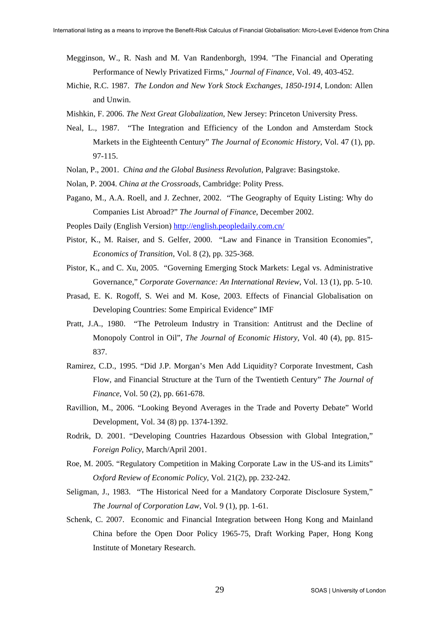- Megginson, W., R. Nash and M. Van Randenborgh, 1994. "The Financial and Operating Performance of Newly Privatized Firms," *Journal of Finance*, Vol. 49, 403-452.
- Michie, R.C. 1987. *The London and New York Stock Exchanges, 1850-1914*, London: Allen and Unwin.
- Mishkin, F. 2006. *The Next Great Globalization*, New Jersey: Princeton University Press.
- Neal, L., 1987. "The Integration and Efficiency of the London and Amsterdam Stock Markets in the Eighteenth Century" *The Journal of Economic History*, Vol. 47 (1), pp. 97-115.
- Nolan, P., 2001. *China and the Global Business Revolution*, Palgrave: Basingstoke.
- Nolan, P. 2004. *China at the Crossroads*, Cambridge: Polity Press.
- Pagano, M., A.A. Roell, and J. Zechner, 2002. "The Geography of Equity Listing: Why do Companies List Abroad?" *The Journal of Finance*, December 2002.
- Peoples Daily (English Version)<http://english.peopledaily.com.cn/>
- Pistor, K., M. Raiser, and S. Gelfer, 2000. "Law and Finance in Transition Economies", *Economics of Transition*, Vol. 8 (2), pp. 325-368.
- Pistor, K., and C. Xu, 2005. "Governing Emerging Stock Markets: Legal vs. Administrative Governance," *Corporate Governance: An International Review*, Vol. 13 (1), pp. 5-10.
- Prasad, E. K. Rogoff, S. Wei and M. Kose, 2003. Effects of Financial Globalisation on Developing Countries: Some Empirical Evidence" IMF
- Pratt, J.A., 1980. "The Petroleum Industry in Transition: Antitrust and the Decline of Monopoly Control in Oil", *The Journal of Economic History*, Vol. 40 (4), pp. 815- 837.
- Ramirez, C.D., 1995. "Did J.P. Morgan's Men Add Liquidity? Corporate Investment, Cash Flow, and Financial Structure at the Turn of the Twentieth Century" *The Journal of Finance*, Vol. 50 (2), pp. 661-678.
- Ravillion, M., 2006. "Looking Beyond Averages in the Trade and Poverty Debate" World Development, Vol. 34 (8) pp. 1374-1392.
- Rodrik, D. 2001. "Developing Countries Hazardous Obsession with Global Integration," *Foreign Policy*, March/April 2001.
- Roe, M. 2005. "Regulatory Competition in Making Corporate Law in the US-and its Limits" *Oxford Review of Economic Policy*, Vol. 21(2), pp. 232-242.
- Seligman, J., 1983. "The Historical Need for a Mandatory Corporate Disclosure System," *The Journal of Corporation Law*, Vol. 9 (1), pp. 1-61.
- Schenk, C. 2007. Economic and Financial Integration between Hong Kong and Mainland China before the Open Door Policy 1965-75, Draft Working Paper, Hong Kong Institute of Monetary Research.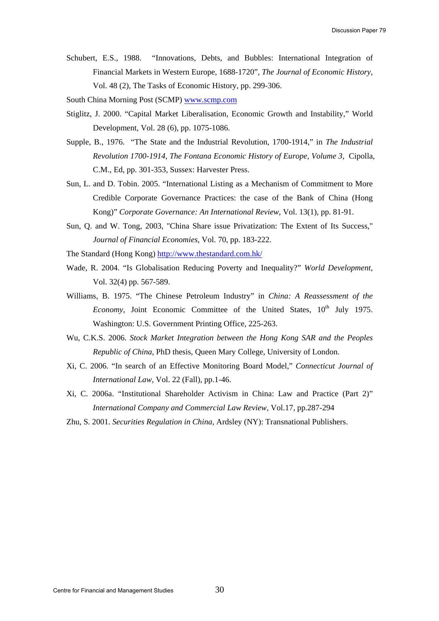Schubert, E.S., 1988. "Innovations, Debts, and Bubbles: International Integration of Financial Markets in Western Europe, 1688-1720", *The Journal of Economic History,* Vol. 48 (2), The Tasks of Economic History, pp. 299-306.

South China Morning Post (SCMP) [www.scmp.com](http://www.scmp.com/)

- Stiglitz, J. 2000. "Capital Market Liberalisation, Economic Growth and Instability," World Development, Vol. 28 (6), pp. 1075-1086.
- Supple, B., 1976. "The State and the Industrial Revolution, 1700-1914," in *The Industrial Revolution 1700-1914, The Fontana Economic History of Europe, Volume 3*, Cipolla, C.M., Ed, pp. 301-353, Sussex: Harvester Press.
- Sun, L. and D. Tobin. 2005. "International Listing as a Mechanism of Commitment to More Credible Corporate Governance Practices: the case of the Bank of China (Hong Kong)" *Corporate Governance: An International Review*, Vol. 13(1), pp. 81-91.
- Sun, Q. and W. Tong, 2003, "China Share issue Privatization: The Extent of Its Success," *Journal of Financial Economies*, Vol. 70, pp. 183-222.
- The Standard (Hong Kong)<http://www.thestandard.com.hk/>
- Wade, R. 2004. "Is Globalisation Reducing Poverty and Inequality?" *World Development*, Vol. 32(4) pp. 567-589.
- Williams, B. 1975. "The Chinese Petroleum Industry" in *China: A Reassessment of the Economy*, Joint Economic Committee of the United States, 10<sup>th</sup> July 1975. Washington: U.S. Government Printing Office, 225-263.
- Wu, C.K.S. 2006. *Stock Market Integration between the Hong Kong SAR and the Peoples Republic of China*, PhD thesis, Queen Mary College, University of London.
- Xi, C. 2006. "In search of an Effective Monitoring Board Model," *Connecticut Journal of International Law*, Vol. 22 (Fall), pp.1-46.
- Xi, C. 2006a. "Institutional Shareholder Activism in China: Law and Practice (Part 2)" *International Company and Commercial Law Review*, Vol.17, pp.287-294
- Zhu, S. 2001. *Securities Regulation in China*, Ardsley (NY): Transnational Publishers.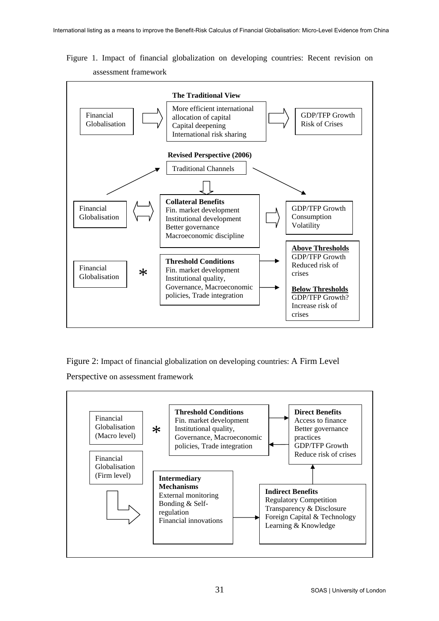Figure 1. Impact of financial globalization on developing countries: Recent revision on assessment framework



Figure 2: Impact of financial globalization on developing countries: A Firm Level

Perspective on assessment framework

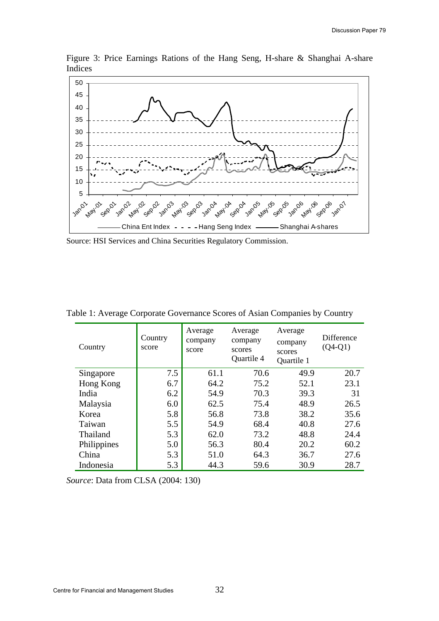



Source: HSI Services and China Securities Regulatory Commission.

| Country     | Country<br>score | Average<br>company<br>score | Average<br>company<br>scores<br>Quartile 4 | Average<br>company<br>scores<br>Quartile 1 | Difference<br>$(Q4-Q1)$ |
|-------------|------------------|-----------------------------|--------------------------------------------|--------------------------------------------|-------------------------|
| Singapore   | 7.5              | 61.1                        | 70.6                                       | 49.9                                       | 20.7                    |
| Hong Kong   | 6.7              | 64.2                        | 75.2                                       | 52.1                                       | 23.1                    |
| India       | 6.2              | 54.9                        | 70.3                                       | 39.3                                       | 31                      |
| Malaysia    | 6.0              | 62.5                        | 75.4                                       | 48.9                                       | 26.5                    |
| Korea       | 5.8              | 56.8                        | 73.8                                       | 38.2                                       | 35.6                    |
| Taiwan      | 5.5              | 54.9                        | 68.4                                       | 40.8                                       | 27.6                    |
| Thailand    | 5.3              | 62.0                        | 73.2                                       | 48.8                                       | 24.4                    |
| Philippines | 5.0              | 56.3                        | 80.4                                       | 20.2                                       | 60.2                    |
| China       | 5.3              | 51.0                        | 64.3                                       | 36.7                                       | 27.6                    |
| Indonesia   | 5.3              | 44.3                        | 59.6                                       | 30.9                                       | 28.7                    |

Table 1: Average Corporate Governance Scores of Asian Companies by Country

*Source*: Data from CLSA (2004: 130)